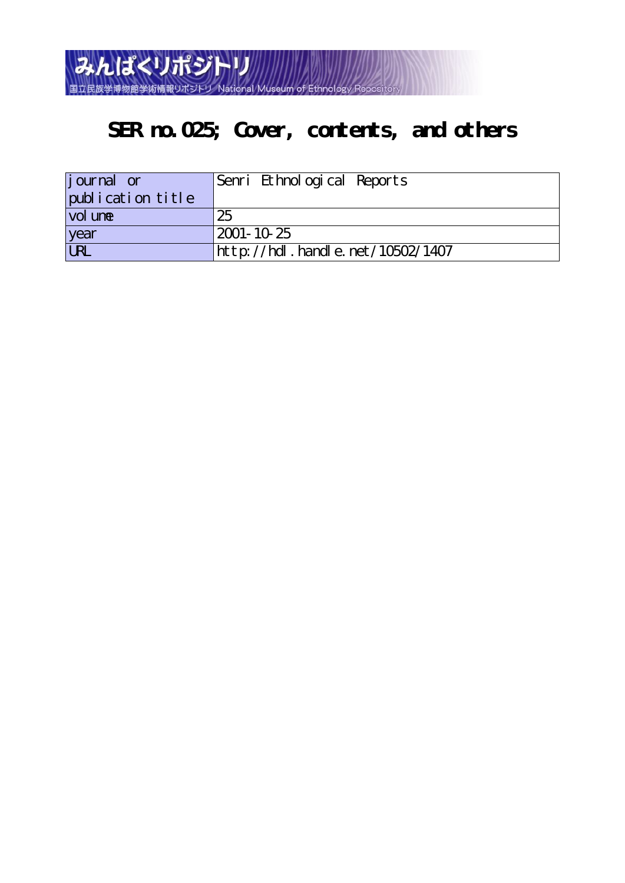

## **SER no.025; Cover, contents, and others**

| journal or        | Senri Ethnological Reports       |
|-------------------|----------------------------------|
| publication title |                                  |
| vol une           | 25                               |
| year              | 2001-10-25                       |
| URL               | http://hdl.handle.net/10502/1407 |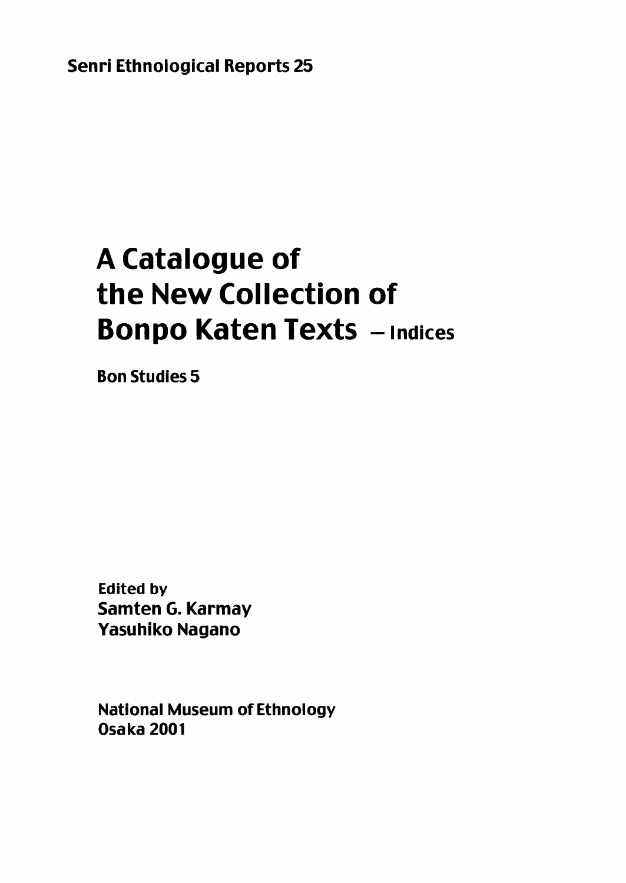**Senri Ethnological Reports 25** 

# **A Catalogue of** the New Collection of **Bonpo Katen Texts - Indices**

**Bon Studies 5** 

**Edited by** Samten G. Karmay **Yasuhiko Nagano** 

**National Museum of Ethnology Osaka 2001**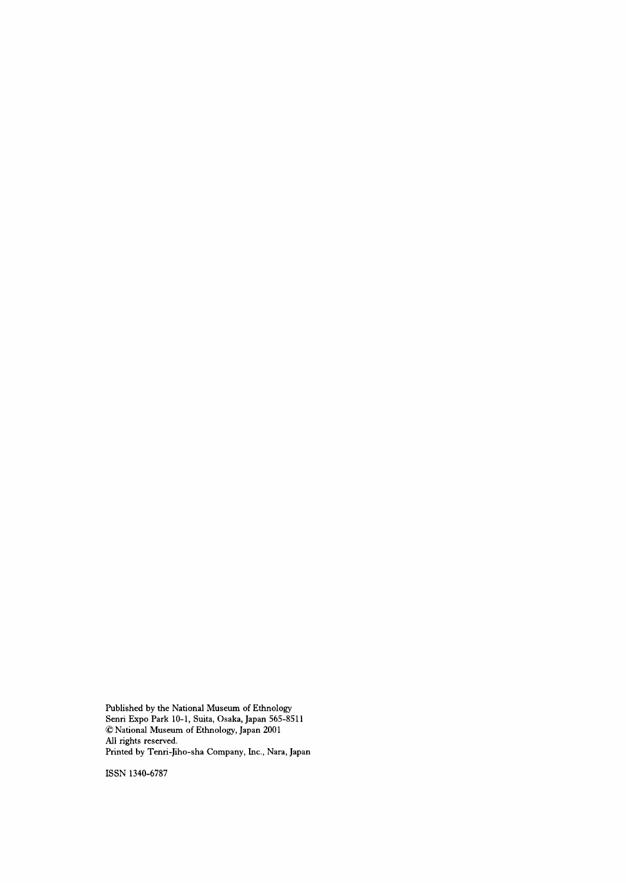Published by the National Museum of Ethnology Senri Expo Park 10-1, Suita, Osaka, Japan 565-8511 @ National Museum of Ethnology, Japan 2001 Nl rights reserved. Printed by Tenri-Jiho-sha Company, Inc., Nara, Japan

ISSN 1340-6787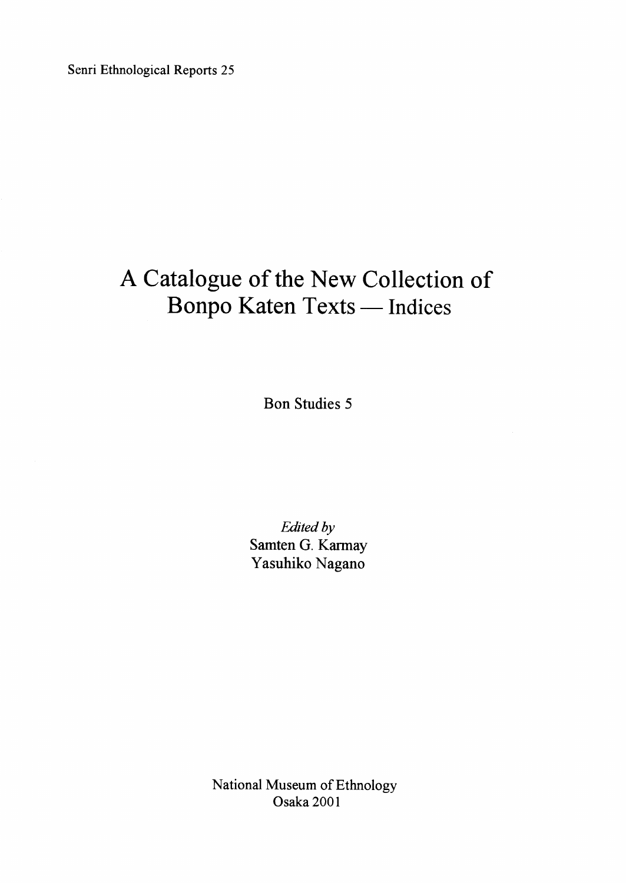Senri Ethnological Reports 25

## A Catalogue of the New Collection of Bonpo Katen Texts - Indices

Bon Studies 5

Edited by Samten G. Karmay Yasuhiko Nagano

National Museum of Ethnology Osaka 2001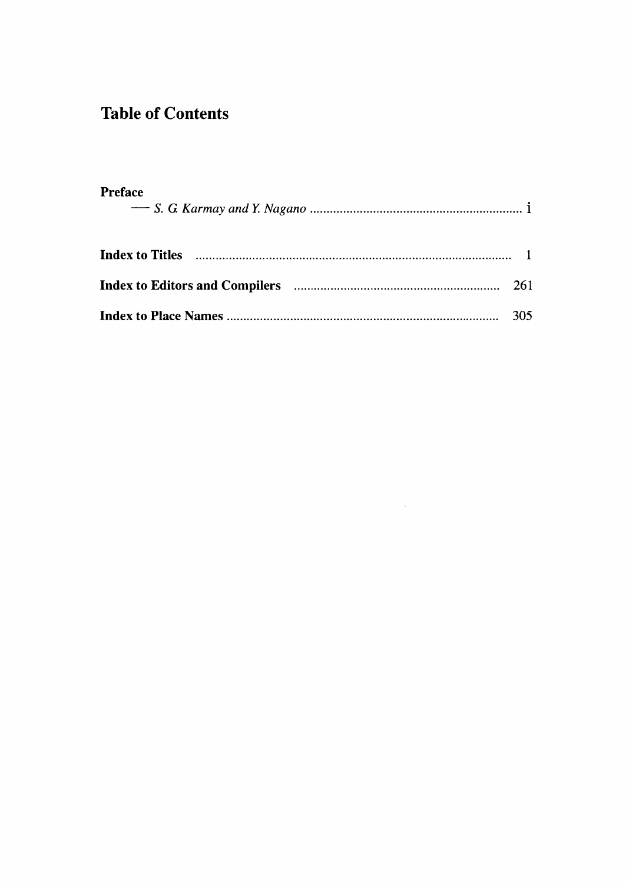### **Table of Contents**

| <b>Preface</b> |  |
|----------------|--|
|                |  |
|                |  |
|                |  |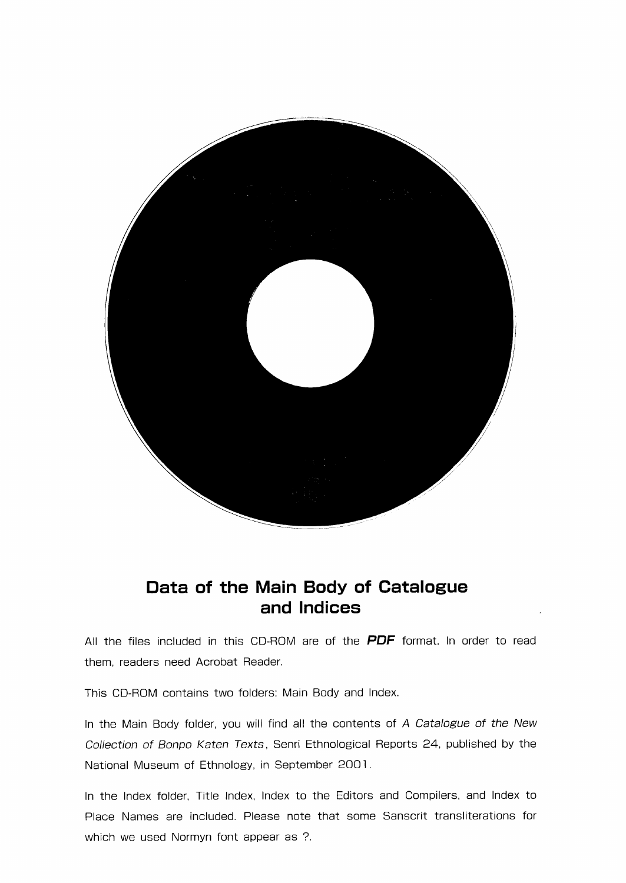

#### Data of the Main Body of Catalogue and lndices .

All the files included in this CD-ROM are of the PDF format. In order to read them, readers need Acrobat Reader.

This CD-ROM contains two folders: Main Body and lndex.

In the Main Body folder, you will find all the contents of A Catalogue of the New Collection of Bonpo Katen Texts, Senri Ethnological Reports 24, published by the National Museum of Ethnology, in September 2001.

In the lndex folder, Title lndex, lndex to the Editors and Compilers, and lndex to Place Names are included. Piease note that some Sanscrit transliterations for which we used Normyn font appear as ?.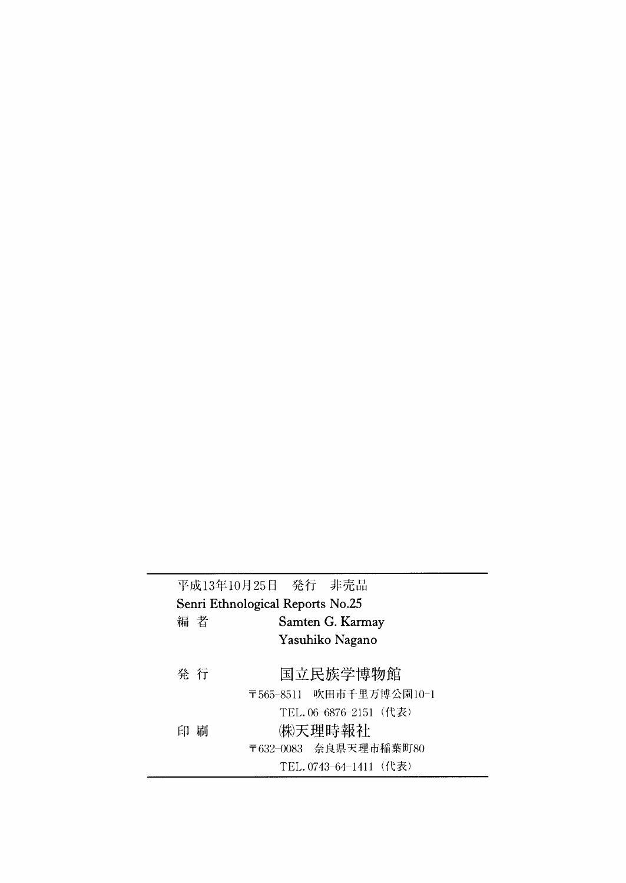|                                  | 平成13年10月25日 発行 非売品      |  |
|----------------------------------|-------------------------|--|
| Senri Ethnological Reports No.25 |                         |  |
| 編 者                              | Samten G. Karmay        |  |
|                                  | Yasuhiko Nagano         |  |
|                                  |                         |  |
| 発 行                              | 国立民族学博物館                |  |
|                                  | 〒565-8511 吹田市千里万博公園10-1 |  |
|                                  | TEL.06-6876-2151 (代表)   |  |
| 刷<br>EП.                         | ㈱天理時報社                  |  |
|                                  | 〒632-0083 奈良県天理市稲葉町80   |  |
|                                  | TEL.0743-64-1411 (代表)   |  |
|                                  |                         |  |